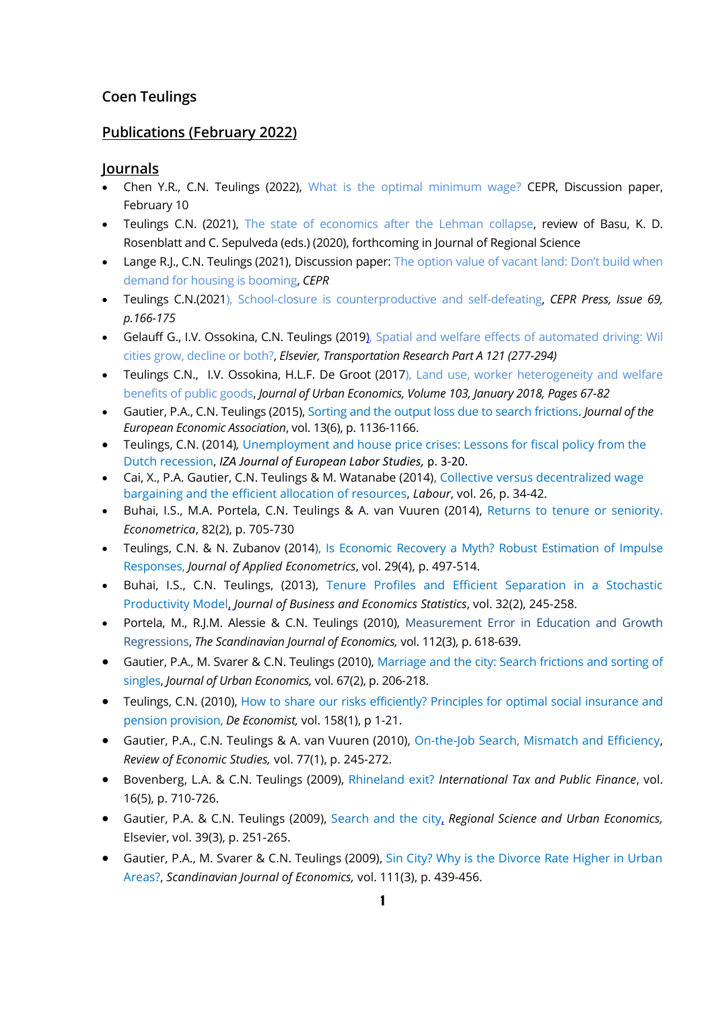# **Coen Teulings**

# **Publications (February 2022)**

#### **Journals**

- Chen Y.R., C.N. Teulings (2022), [What is the optimal minimum wage?](https://cepr.org/active/publications/discussion_papers/dp.php?dpno=17026) CEPR, Discussion paper, February 10
- Teulings C.N. (2021), [The state of economics after the Lehman collapse,](https://www.coenteulings.com/wp-content/uploads/2021/09/Review-State-of-economics.pdf) review of Basu, K. D. Rosenblatt and C. Sepulveda (eds.) (2020), forthcoming in Journal of Regional Science
- Lange R.J., C.N. Teulings (2021), Discussion paper: The option value of vacant land: Don't build when [demand for housing is booming,](https://www.coenteulings.com/the-option-value-of-vacant-land-dont-build-when-demand-for-housing-is-booming/) *CEPR*
- Teulings C.N.(202[1\), School-closure is counterproductive and self-defeating,](https://www.coenteulings.com/wp-content/uploads/2021/02/corona2-prt.pdf) *CEPR Press, Issue 69, p.166-175*
- Gelauff G., I.V. Ossokina, C.N. Teulings (2019), [Spatial and welfare effects of automated driving: Wil](http://www.coenteulings.com/wp-content/uploads/2019/02/Spatial-and-welfare-effects-of-automated-driving-January-13-2019.pdf)  [cities grow, decline or both?,](http://www.coenteulings.com/wp-content/uploads/2019/02/Spatial-and-welfare-effects-of-automated-driving-January-13-2019.pdf) *Elsevier, Transportation Research Part A 121 (277-294)*
- Teulings C.N., I.V. Ossokina, H.L.F. De Groot (2017), [Land use, worker heterogeneity and welfare](http://www.coenteulings.com/wp-content/uploads/2015/10/Land_rent_public_goods_1510-okt.-2017.pdf)  [benefits of public goods,](http://www.coenteulings.com/wp-content/uploads/2015/10/Land_rent_public_goods_1510-okt.-2017.pdf) *Journal of Urban Economics, Volume 103, January 2018, Pages 67-82*
- Gautier, P.A., C.N. Teulings (2015), [Sorting and the output loss due to search frictions.](http://www.coenteulings.com/wp-content/uploads/2015/01/Sorting-and-the-output-loss-due-to-search-frictions-okt.-2014.pdf) *Journal of the European Economic Association*, vol. 13(6), p. 1136-1166.
- Teulings, C.N. (2014)*,* [Unemployment and house price crises: Lessons for fiscal policy from the](http://www.izajoels.com/content/3/1/20)  [Dutch recession,](http://www.izajoels.com/content/3/1/20) *IZA Journal of European Labor Studies,* p. 3-20.
- Cai, X., P.A. Gautier, C.N. Teulings & M. Watanabe (2014), [Collective versus decentralized wage](https://sites.google.com/site/pietgautier/research)  [bargaining and the efficient allocation of resources,](https://sites.google.com/site/pietgautier/research) *Labour*, vol. 26, p. 34-42.
- Buhai, I.S., M.A. Portela, C.N. Teulings & A. van Vuuren (2014), [Returns to tenure or seniority.](http://onlinelibrary.wiley.com/doi/10.3982/ECTA8688/abstract) *Econometrica*, 82(2), p. 705-730
- Teulings, C.N. & N. Zubanov (2014), [Is Economic Recovery a Myth? Robust Estimation of Impulse](http://onlinelibrary.wiley.com/doi/10.1002/jae.2333/abstract)  [Responses,](http://onlinelibrary.wiley.com/doi/10.1002/jae.2333/abstract) *Journal of Applied Econometrics*, vol. 29(4), p. 497-514.
- Buhai, I.S., C.N. Teulings, (2013), [Tenure Profiles and Efficient Separation in a Stochastic](http://www.sebastianbuhai.com/papers/publications/tenureprofiles.pdf)  [Productivity Model,](http://www.sebastianbuhai.com/papers/publications/tenureprofiles.pdf) *Journal of Business and Economics Statistics*, vol. 32(2), 245-258.
- Portela, M., R.J.M. Alessie & C.N. Teulings (2010), [Measurement Error in Education and Growth](http://onlinelibrary.wiley.com/doi/10.1111/j.1467-9442.2010.01613.x/full)  [Regressions,](http://onlinelibrary.wiley.com/doi/10.1111/j.1467-9442.2010.01613.x/full) *The Scandinavian Journal of Economics,* vol. 112(3), p. 618-639.
- Gautier, P.A., M. Svarer & C.N. Teulings (2010), [Marriage and the city: Search frictions and sorting of](http://www.ionica.nl/wp-content/uploads/2013/10/Marriage-and-the-city.pdf)  [singles,](http://www.ionica.nl/wp-content/uploads/2013/10/Marriage-and-the-city.pdf) *Journal of Urban Economics,* vol. 67(2), p. 206-218.
- Teulings, C.N. (2010), [How to share our risks efficiently? Principles for optimal social insurance and](http://link.springer.com/article/10.1007%2Fs10645-010-9134-5?LI=true%23page-1)  [pension provision,](http://link.springer.com/article/10.1007%2Fs10645-010-9134-5?LI=true%23page-1) *De Economist,* vol. 158(1), p 1-21.
- Gautier, P.A., C.N. Teulings & A. van Vuuren (2010), [On-the-Job Search, Mismatch and Efficiency,](http://restud.oxfordjournals.org/content/77/1/245.full) *Review of Economic Studies,* vol. 77(1), p. 245-272.
- Bovenberg, L.A. & C.N. Teulings (2009), [Rhineland exit?](http://arno.uvt.nl/show.cgi?fid=93156) *International Tax and Public Finance*, vol. 16(5), p. 710-726.
- Gautier, P.A. & C.N. Teulings (2009), [Search and the city,](https://ideas.repec.org/a/eee/regeco/v39y2009i3p251-265.html) *[Regional Science and Urban Economics,](http://ideas.repec.org/s/eee/regeco.html)* Elsevier, vol. 39(3), p. 251-265.
- Gautier, P.A., M. Svarer & C.N. Teulings (2009), [Sin City? Why is the Divorce Rate Higher in Urban](http://www.readcube.com/articles/10.1111%2Fj.1467-9442.2009.01571.x?r3_referer=wol&tracking_action=preview_click&show_checkout=1)  [Areas?,](http://www.readcube.com/articles/10.1111%2Fj.1467-9442.2009.01571.x?r3_referer=wol&tracking_action=preview_click&show_checkout=1) *[Scandinavian Journal of Economics,](http://ideas.repec.org/s/bla/scandj.html)* vol. 111(3), p. 439-456.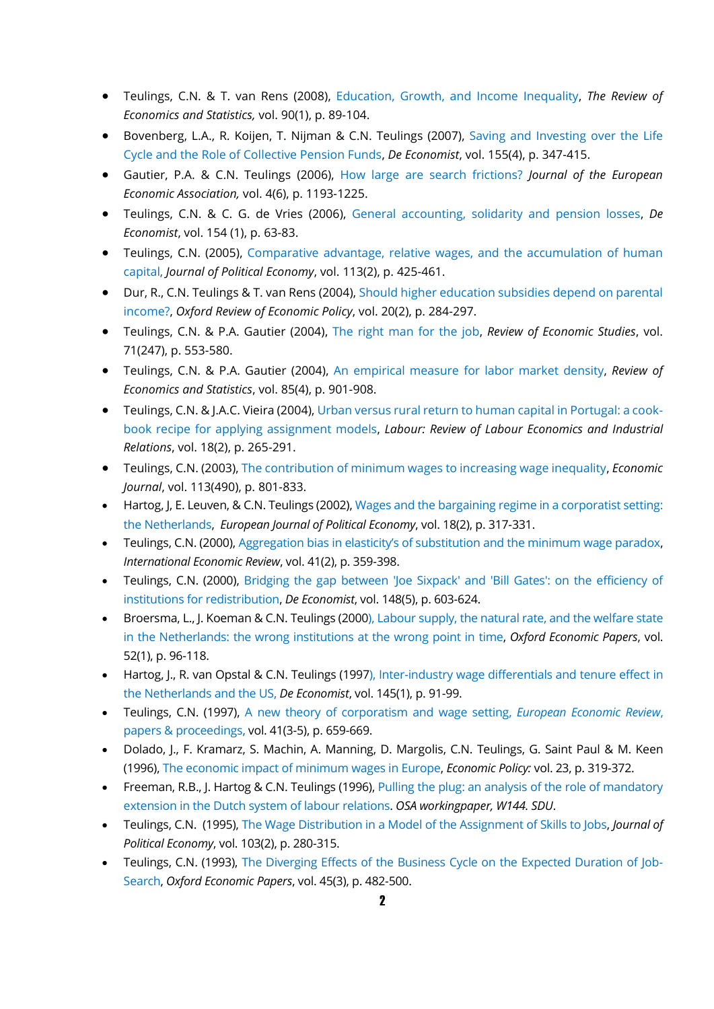- Teulings, C.N. & T. van Rens (2008), [Education, Growth, and Income Inequality,](http://www.mitpressjournals.org/doi/pdf/10.1162/rest.90.1.89) *[The Review of](http://ideas.repec.org/s/tpr/restat.html)  [Economics and Statistics,](http://ideas.repec.org/s/tpr/restat.html)* vol. 90(1), p. 89-104.
- Bovenberg, L.A., R. Koijen, T. Nijman & C.N. Teulings (2007), [Saving and Investing over the Life](http://link.springer.com/article/10.1007%2Fs10645-007-9070-1#page-1)  [Cycle and the Role of Collective Pension Funds,](http://link.springer.com/article/10.1007%2Fs10645-007-9070-1#page-1) *De Economist*, vol. 155(4), p. 347-415.
- Gautier, P.A. & C.N. Teulings (2006), [How large are search frictions?](http://onlinelibrary.wiley.com/doi/10.1162/JEEA.2006.4.6.1193/abstract) *Journal of the European Economic Association,* vol. 4(6), p. 1193-1225.
- Teulings, C.N. & C. G. de Vries (2006), [General accounting, solidarity and pension losses,](http://arno.uvt.nl/show.cgi?fid=81734) *De Economist*, vol. 154 (1), p. 63-83.
- Teulings, C.N. (2005), [Comparative advantage, relative wages, and the accumulation of human](http://www.jstor.org/discover/10.1086/427467?uid=3738736&uid=2&uid=4&sid=21105593610193)  [capital,](http://www.jstor.org/discover/10.1086/427467?uid=3738736&uid=2&uid=4&sid=21105593610193) *Journal of Political Economy*, vol. 113(2), p. 425-461.
- Dur, R., C.N. Teulings & T. van Rens (2004), [Should higher education subsidies depend on parental](http://oxrep.oxfordjournals.org/content/20/2/284.short)  [income?,](http://oxrep.oxfordjournals.org/content/20/2/284.short) *Oxford Review of Economic Policy*, vol. 20(2), p. 284-297.
- Teulings, C.N. & P.A. Gautier (2004), [The right man for the job,](http://restud.oxfordjournals.org/content/71/2/553.abstract) *Review of Economic Studies*, vol. 71(247), p. 553-580.
- Teulings, C.N. & P.A. Gautier (2004), [An empirical measure for labor market density,](http://www.mitpressjournals.org/doi/pdfplus/10.1162/003465303772815808) *Review of Economics and Statistics*, vol. 85(4), p. 901-908.
- Teulings, C.N. & J.A.C. Vieira (2004), [Urban versus rural return to human capital in Portugal: a cook](http://onlinelibrary.wiley.com/doi/10.1111/j.1121-7081.2004.00267.x/pdf)[book recipe for applying assignment models,](http://onlinelibrary.wiley.com/doi/10.1111/j.1121-7081.2004.00267.x/pdf) *Labour: Review of Labour Economics and Industrial Relations*, vol. 18(2), p. 265-291.
- Teulings, C.N. (2003), [The contribution of minimum wages to increasing wage inequality,](http://www.jstor.org/discover/10.2307/3590284?sid=21105593629563&uid=3738736&uid=4&uid=2) *Economic Journal*, vol. 113(490), p. 801-833.
- Hartog, J, E. Leuven, & C.N. Teulings (2002), [Wages and the bargaining regime in a corporatist setting:](https://ideas.repec.org/p/cpr/ceprdp/1706.html)  [the Netherlands,](https://ideas.repec.org/p/cpr/ceprdp/1706.html) *European Journal of Political Economy*, vol. 18(2), p. 317-331.
- Teulings, C.N. (2000), [Aggregation bias in elasticity's of substitution and the minimum wage paradox](http://onlinelibrary.wiley.com/doi/10.1111/1468-2354.00067/full), *International Economic Review*, vol. 41(2), p. 359-398.
- Teulings, C.N. (2000), [Bridging the gap between 'Joe Sixpack' and 'Bill Gates': on the efficiency of](http://link.springer.com/article/10.1023/A%3A1004105100439)  [institutions for redistribution,](http://link.springer.com/article/10.1023/A%3A1004105100439) *De Economist*, vol. 148(5), p. 603-624.
- Broersma, L., J. Koeman & C.N. Teulings (2000)[, Labour supply, the natural rate, and the welfare state](http://oep.oxfordjournals.org/content/52/1/96.full.pdf)  [in the Netherlands: the wrong institutions at the wrong point in time,](http://oep.oxfordjournals.org/content/52/1/96.full.pdf) *Oxford Economic Papers*, vol. 52(1), p. 96-118.
- Hartog, J., R. van Opstal & C.N. Teulings (1997), [Inter-industry wage differentials and tenure effect in](http://link.springer.com/article/10.1023%2FA%3A1002977129905)  [the Netherlands and the US,](http://link.springer.com/article/10.1023%2FA%3A1002977129905) *De Economist*, vol. 145(1), p. 91-99.
- Teulings, C.N. (1997), [A new theory of corporatism and wage setting,](http://www.sciencedirect.com/science/article/pii/S0014292197000287) *European Economic Review*, [papers & proceedings,](http://www.sciencedirect.com/science/article/pii/S0014292197000287) vol. 41(3-5), p. 659-669.
- Dolado, J., F. Kramarz, S. Machin, A. Manning, D. Margolis, C.N. Teulings, G. Saint Paul & M. Keen (1996)[, The economic impact of minimum wages in Europe,](http://personal.lse.ac.uk/manning/work/AM.MinimumWagesInEurope.pdf) *Economic Policy:* vol. 23, p. 319-372.
- Freeman, R.B., J. Hartog & C.N. Teulings (1996), Pulling the plug: an analysis of the role of mandatory [extension in the Dutch system of labour relations.](http://scholar.harvard.edu/freeman/publications/pulling-plug-analysis-role-mandatory-extension-dutch-system-labour-relations) *OSA workingpaper, W144. SDU*.
- Teulings, C.N. (1995), [The Wage Distribution in a Model of the Assignment of Skills to Jobs,](https://ideas.repec.org/a/ucp/jpolec/v103y1995i2p280-315.html) *Journal of Political Economy*, vol. 103(2), p. 280-315.
- Teulings, C.N. (1993), [The Diverging Effects of the Business Cycle on the Expected Duration of Job-](http://econpapers.repec.org/article/oupoxecpp/v_3a45_3ay_3a1993_3ai_3a3_3ap_3a482-500.htm)[Search,](http://econpapers.repec.org/article/oupoxecpp/v_3a45_3ay_3a1993_3ai_3a3_3ap_3a482-500.htm) *Oxford Economic Papers*, vol. 45(3), p. 482-500.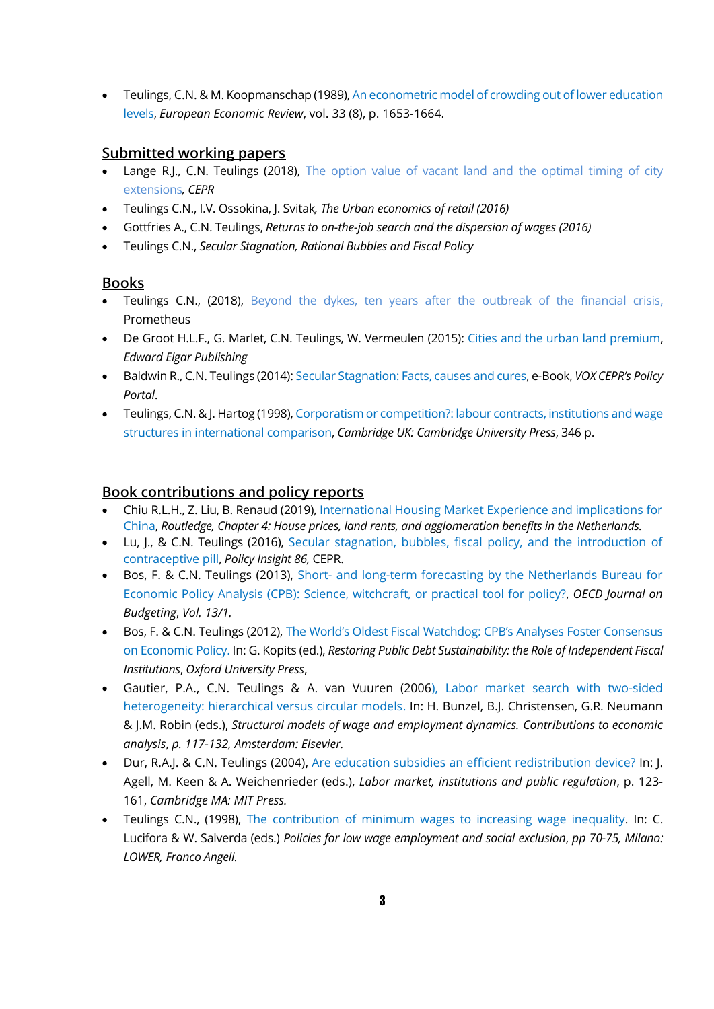• [Teulings,](http://econpapers.repec.org/RAS/pte85.htm) C.N. & M. Koopmanschap (1989), [An econometric model of crowding out of lower education](https://ideas.repec.org/a/eee/eecrev/v33y1989i8p1653-1664.html)  [levels,](https://ideas.repec.org/a/eee/eecrev/v33y1989i8p1653-1664.html) *European Economic Review*, vol. 33 (8), p. 1653-1664.

### **Submitted working papers**

- Lange R.J., C.N. Teulings (2018), The option value of vacant land and the optimal timing of city [extensions](http://www.coenteulings.com/option-value-vacant-land-optimal-timing-city-extensions/)*, CEPR*
- Teulings C.N., I.V. Ossokina, J. Svitak*, The Urban economics of retail (2016)*
- Gottfries A., C.N. Teulings, *Returns to on-the-job search and the dispersion of wages (2016)*
- Teulings C.N., *Secular Stagnation, Rational Bubbles and Fiscal Policy*

## **Books**

- Teulings C.N., (2018), [Beyond the dykes, ten years after the outbreak of the financial crisis,](https://www.coenteulings.com/wp-content/uploads/2018/09/Beyond-the-dykes-C.N.-Teulings.pdf)  Prometheus
- De Groot H.L.F., G. Marlet, C.N. Teulings, W. Vermeulen (2015): [Cities and the urban land premium,](http://www.e-elgar.com/Cities-and-the-Urban-Land-Premium-Website-Leaflet)  *Edward Elgar Publishing*
- Baldwin R., C.N. Teulings (2014)[: Secular Stagnation: Facts, causes and cures,](http://www.voxeu.org/content/secular-stagnation-facts-causes-and-cures) e-Book, *VOX CEPR's Policy Portal*.
- Teulings, C.N. & J. Hartog (1998)[, Corporatism or competition?: labour contracts, institutions and wage](http://catdir.loc.gov/catdir/samples/cam034/97014936.pdf)  [structures in international comparison,](http://catdir.loc.gov/catdir/samples/cam034/97014936.pdf) *Cambridge UK: Cambridge University Press*, 346 p.

## **Book contributions and policy reports**

- Chiu R.L.H., Z. Liu, B. Renaud (2019)[, International Housing Market Experience and implications for](https://www.crcpress.com/International-Housing-Market-Experience-and-Implications-for-China/Chiu-Liu-Renaud/p/book/9781138345034#googlePreviewContainer)  [China,](https://www.crcpress.com/International-Housing-Market-Experience-and-Implications-for-China/Chiu-Liu-Renaud/p/book/9781138345034#googlePreviewContainer) *Routledge, Chapter 4: House prices, land rents, and agglomeration benefits in the Netherlands.*
- Lu, J., & C.N. Teulings (2016), [Secular stagnation, bubbles, fiscal policy, and the introduction of](http://cepr.org/active/publications/policy_insights/viewpi.php?pino=86)  [contraceptive pill,](http://cepr.org/active/publications/policy_insights/viewpi.php?pino=86) *Policy Insight 86,* CEPR.
- Bos, F. & C.N. Teulings (2013), Short- [and long-term forecasting by the Netherlands Bureau for](http://www.oecd-ilibrary.org/governance/short-and-long-term-forecasting-by-the-netherlands-bureau-for-economic-policy-analysis-cpb_budget-13-5k409g58z133)  [Economic Policy Analysis \(CPB\): Science, witchcraft, or practical tool for policy?,](http://www.oecd-ilibrary.org/governance/short-and-long-term-forecasting-by-the-netherlands-bureau-for-economic-policy-analysis-cpb_budget-13-5k409g58z133) *OECD Journal on Budgeting*, *Vol. 13/1.*
- Bos, F. & C.N. Teulings (2012), [The World's Oldest Fiscal Watchdog: CPB's Analyses Foster Consensus](http://ukcatalogue.oup.com/product/9780199644476.do)  [on Economic Policy.](http://ukcatalogue.oup.com/product/9780199644476.do) In: G. Kopits (ed.), *Restoring Public Debt Sustainability: the Role of Independent Fiscal Institutions*, *Oxford University Press*,
- Gautier, P.A., C.N. Teulings & A. van Vuuren (2006), [Labor market search with two-sided](http://www.amazon.com/Structural-Employment-Dynamics-Contributions-Economic/dp/0444520899)  [heterogeneity: hierarchical versus circular models.](http://www.amazon.com/Structural-Employment-Dynamics-Contributions-Economic/dp/0444520899) In: H. Bunzel, B.J. Christensen, G.R. Neumann & J.M. Robin (eds.), *Structural models of wage and employment dynamics. Contributions to economic analysis*, *p. 117-132, Amsterdam: Elsevier.*
- Dur, R.A.J. & C.N. Teulings (2004), [Are education subsidies an efficient redistribution device?](http://papers.tinbergen.nl/03024.pdf) In: J. Agell, M. Keen & A. Weichenrieder (eds.), *Labor market, institutions and public regulation*, p. 123- 161, *Cambridge MA: MIT Press.*
- Teulings C.N., (1998), [The contribution of minimum wages to increasing wage inequality.](http://books.google.nl/books?id=0XuUALpRXt0C&pg=PA70&lpg=PA70&dq=The+contribution+of+minimum+wages+to+increasing+wage+inequality&source=bl&ots=Xc2Ar-q9qv&sig=oZqjWQc2ndpmHoy96q5vxjLDLZU&hl=nl&sa=X&ei=WARuVPHsBsKPPan4gaAB&ved=0CDcQ6AEwAzgK#v=onepage&q=The%20contribution%20of%20minimum%20wages%20to%20increasing%20wage%20inequality&f=false) In: C. Lucifora & W. Salverda (eds.) *Policies for low wage employment and social exclusion*, *pp 70-75, Milano: LOWER, Franco Angeli.*